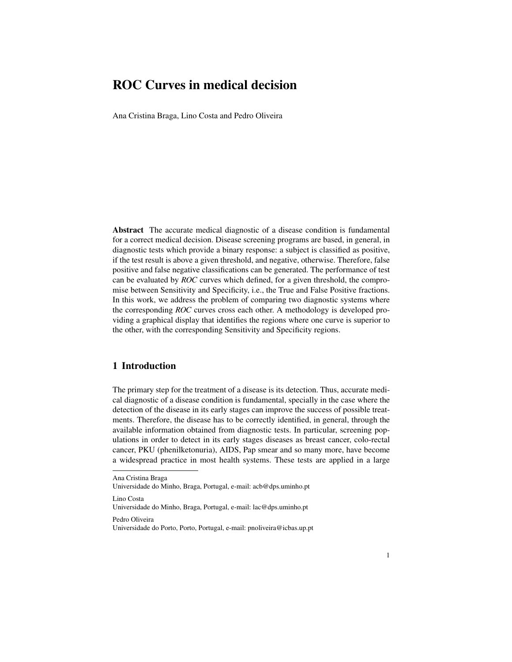# ROC Curves in medical decision

Ana Cristina Braga, Lino Costa and Pedro Oliveira

Abstract The accurate medical diagnostic of a disease condition is fundamental for a correct medical decision. Disease screening programs are based, in general, in diagnostic tests which provide a binary response: a subject is classified as positive, if the test result is above a given threshold, and negative, otherwise. Therefore, false positive and false negative classifications can be generated. The performance of test can be evaluated by *ROC* curves which defined, for a given threshold, the compromise between Sensitivity and Specificity, i.e., the True and False Positive fractions. In this work, we address the problem of comparing two diagnostic systems where the corresponding *ROC* curves cross each other. A methodology is developed providing a graphical display that identifies the regions where one curve is superior to the other, with the corresponding Sensitivity and Specificity regions.

## 1 Introduction

The primary step for the treatment of a disease is its detection. Thus, accurate medical diagnostic of a disease condition is fundamental, specially in the case where the detection of the disease in its early stages can improve the success of possible treatments. Therefore, the disease has to be correctly identified, in general, through the available information obtained from diagnostic tests. In particular, screening populations in order to detect in its early stages diseases as breast cancer, colo-rectal cancer, PKU (phenilketonuria), AIDS, Pap smear and so many more, have become a widespread practice in most health systems. These tests are applied in a large

Lino Costa

Pedro Oliveira

Ana Cristina Braga

Universidade do Minho, Braga, Portugal, e-mail: acb@dps.uminho.pt

Universidade do Minho, Braga, Portugal, e-mail: lac@dps.uminho.pt

Universidade do Porto, Porto, Portugal, e-mail: pnoliveira@icbas.up.pt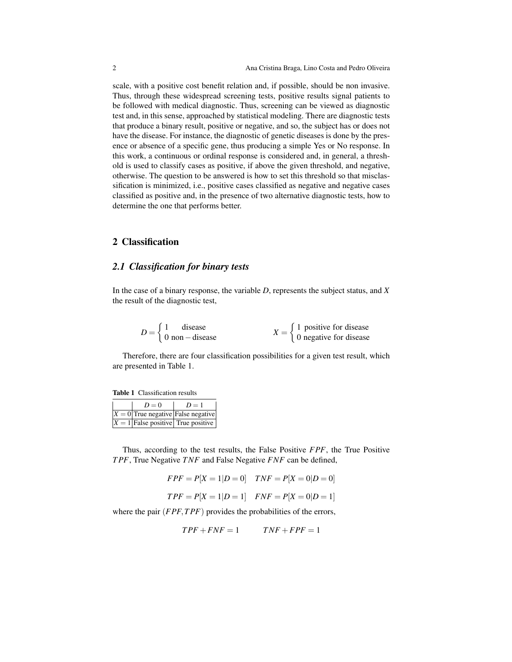scale, with a positive cost benefit relation and, if possible, should be non invasive. Thus, through these widespread screening tests, positive results signal patients to be followed with medical diagnostic. Thus, screening can be viewed as diagnostic test and, in this sense, approached by statistical modeling. There are diagnostic tests that produce a binary result, positive or negative, and so, the subject has or does not have the disease. For instance, the diagnostic of genetic diseases is done by the presence or absence of a specific gene, thus producing a simple Yes or No response. In this work, a continuous or ordinal response is considered and, in general, a threshold is used to classify cases as positive, if above the given threshold, and negative, otherwise. The question to be answered is how to set this threshold so that misclassification is minimized, i.e., positive cases classified as negative and negative cases classified as positive and, in the presence of two alternative diagnostic tests, how to determine the one that performs better.

#### 2 Classification

### *2.1 Classification for binary tests*

In the case of a binary response, the variable *D*, represents the subject status, and *X* the result of the diagnostic test,

| $D = \{$ | disease                |  | $\int$ 1 positive for disease |
|----------|------------------------|--|-------------------------------|
|          | $\log$ 0 non – disease |  | 0 negative for disease        |

Therefore, there are four classification possibilities for a given test result, which are presented in Table 1.

| <b>Table 1</b> Classification results |  |
|---------------------------------------|--|
|                                       |  |

| $D=0$ | $D=1$                                  |
|-------|----------------------------------------|
|       | $ X = 0 $ True negative False negative |
|       | $X = 1$ False positive True positive   |

Thus, according to the test results, the False Positive *FPF*, the True Positive *T PF*, True Negative *TNF* and False Negative *FNF* can be defined,

- $FPF = P[X = 1|D = 0]$  *TNF* =  $P[X = 0|D = 0]$
- $TPF = P[X = 1|D = 1]$   $FNF = P[X = 0|D = 1]$

where the pair (*FPF*,*T PF*) provides the probabilities of the errors,

$$
TPF + FNF = 1 \qquad TNF + FPF = 1
$$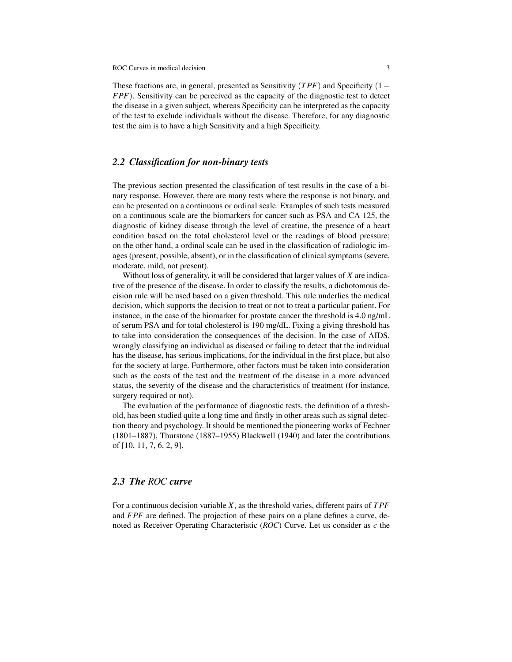ROC Curves in medical decision 3

These fractions are, in general, presented as Sensitivity (*T PF*) and Specificity (1− *FPF*). Sensitivity can be perceived as the capacity of the diagnostic test to detect the disease in a given subject, whereas Specificity can be interpreted as the capacity of the test to exclude individuals without the disease. Therefore, for any diagnostic test the aim is to have a high Sensitivity and a high Specificity.

# *2.2 Classification for non-binary tests*

The previous section presented the classification of test results in the case of a binary response. However, there are many tests where the response is not binary, and can be presented on a continuous or ordinal scale. Examples of such tests measured on a continuous scale are the biomarkers for cancer such as PSA and CA 125, the diagnostic of kidney disease through the level of creatine, the presence of a heart condition based on the total cholesterol level or the readings of blood pressure; on the other hand, a ordinal scale can be used in the classification of radiologic images (present, possible, absent), or in the classification of clinical symptoms (severe, moderate, mild, not present).

Without loss of generality, it will be considered that larger values of *X* are indicative of the presence of the disease. In order to classify the results, a dichotomous decision rule will be used based on a given threshold. This rule underlies the medical decision, which supports the decision to treat or not to treat a particular patient. For instance, in the case of the biomarker for prostate cancer the threshold is 4.0 ng/mL of serum PSA and for total cholesterol is 190 mg/dL. Fixing a giving threshold has to take into consideration the consequences of the decision. In the case of AIDS, wrongly classifying an individual as diseased or failing to detect that the individual has the disease, has serious implications, for the individual in the first place, but also for the society at large. Furthermore, other factors must be taken into consideration such as the costs of the test and the treatment of the disease in a more advanced status, the severity of the disease and the characteristics of treatment (for instance, surgery required or not).

The evaluation of the performance of diagnostic tests, the definition of a threshold, has been studied quite a long time and firstly in other areas such as signal detection theory and psychology. It should be mentioned the pioneering works of Fechner (1801–1887), Thurstone (1887–1955) Blackwell (1940) and later the contributions of [10, 11, 7, 6, 2, 9].

### *2.3 The ROC curve*

For a continuous decision variable *X*, as the threshold varies, different pairs of *T PF* and *FPF* are defined. The projection of these pairs on a plane defines a curve, denoted as Receiver Operating Characteristic (*ROC*) Curve. Let us consider as *c* the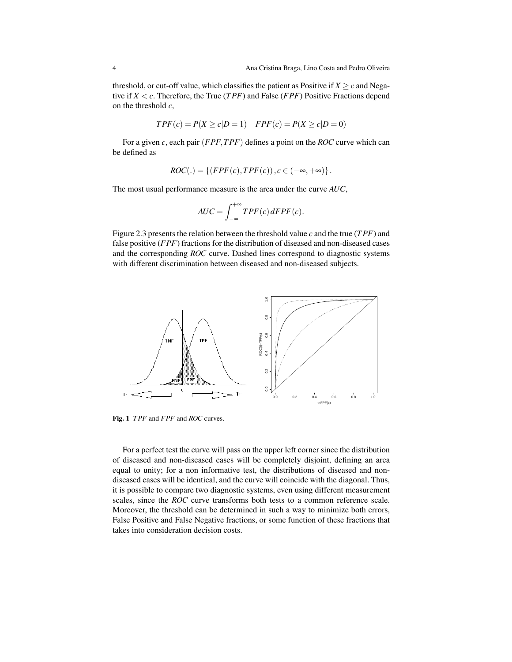threshold, or cut-off value, which classifies the patient as Positive if  $X > c$  and Negative if *X* < *c*. Therefore, the True (*T PF*) and False (*FPF*) Positive Fractions depend on the threshold *c*,

$$
TPF(c) = P(X \ge c|D=1) \quad FPF(c) = P(X \ge c|D=0)
$$

For a given *c*, each pair (*FPF*,*T PF*) defines a point on the *ROC* curve which can be defined as

$$
ROC(.) = \{ (FPF(c), TPF(c)), c \in (-\infty, +\infty) \}.
$$

The most usual performance measure is the area under the curve *AUC*,

$$
AUC = \int_{-\infty}^{+\infty} TPF(c) \, dFPF(c).
$$

Figure 2.3 presents the relation between the threshold value *c* and the true (*T PF*) and false positive (*FPF*) fractions for the distribution of diseased and non-diseased cases and the corresponding *ROC* curve. Dashed lines correspond to diagnostic systems with different discrimination between diseased and non-diseased subjects.



Fig. 1 *T PF* and *FPF* and *ROC* curves.

For a perfect test the curve will pass on the upper left corner since the distribution of diseased and non-diseased cases will be completely disjoint, defining an area equal to unity; for a non informative test, the distributions of diseased and nondiseased cases will be identical, and the curve will coincide with the diagonal. Thus, it is possible to compare two diagnostic systems, even using different measurement scales, since the *ROC* curve transforms both tests to a common reference scale. Moreover, the threshold can be determined in such a way to minimize both errors, False Positive and False Negative fractions, or some function of these fractions that takes into consideration decision costs.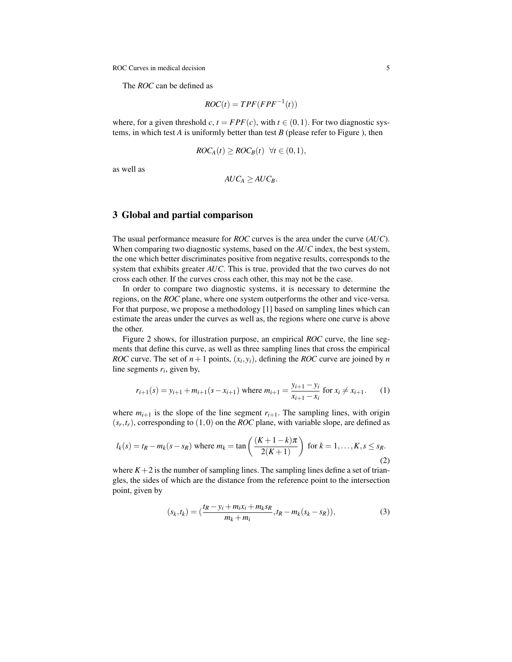ROC Curves in medical decision 5

The *ROC* can be defined as

$$
ROC(t) = TPF(FPF^{-1}(t))
$$

where, for a given threshold  $c, t = FPF(c)$ , with  $t \in (0,1)$ . For two diagnostic systems, in which test *A* is uniformly better than test *B* (please refer to Figure ), then

$$
ROC_A(t) \geq ROC_B(t) \quad \forall t \in (0,1),
$$

as well as

$$
AUC_A \geq AUC_B.
$$

## 3 Global and partial comparison

The usual performance measure for *ROC* curves is the area under the curve (*AUC*). When comparing two diagnostic systems, based on the *AUC* index, the best system, the one which better discriminates positive from negative results, corresponds to the system that exhibits greater *AUC*. This is true, provided that the two curves do not cross each other. If the curves cross each other, this may not be the case.

In order to compare two diagnostic systems, it is necessary to determine the regions, on the *ROC* plane, where one system outperforms the other and vice-versa. For that purpose, we propose a methodology [1] based on sampling lines which can estimate the areas under the curves as well as, the regions where one curve is above the other.

Figure 2 shows, for illustration purpose, an empirical *ROC* curve, the line segments that define this curve, as well as three sampling lines that cross the empirical *ROC* curve. The set of  $n+1$  points,  $(x_i, y_i)$ , defining the *ROC* curve are joined by *n* line segments  $r_i$ , given by,

$$
r_{i+1}(s) = y_{i+1} + m_{i+1}(s - x_{i+1}) \text{ where } m_{i+1} = \frac{y_{i+1} - y_i}{x_{i+1} - x_i} \text{ for } x_i \neq x_{i+1}. \tag{1}
$$

where  $m_{i+1}$  is the slope of the line segment  $r_{i+1}$ . The sampling lines, with origin  $(s_r, t_r)$ , corresponding to  $(1,0)$  on the *ROC* plane, with variable slope, are defined as

$$
l_k(s) = t_R - m_k(s - s_R) \text{ where } m_k = \tan\left(\frac{(K+1-k)\pi}{2(K+1)}\right) \text{ for } k = 1, ..., K, s \le s_R.
$$
 (2)

where  $K+2$  is the number of sampling lines. The sampling lines define a set of triangles, the sides of which are the distance from the reference point to the intersection point, given by

$$
(s_k, t_k) = \left(\frac{t_R - y_i + m_i x_i + m_k s_R}{m_k + m_i}, t_R - m_k (s_k - s_R)\right),\tag{3}
$$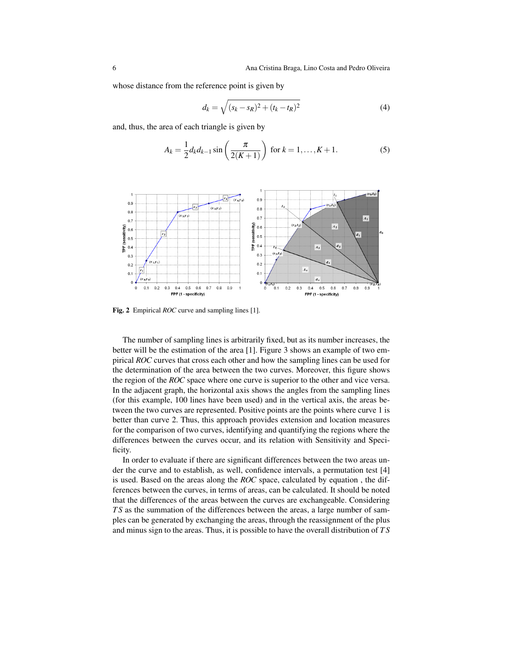whose distance from the reference point is given by

$$
d_k = \sqrt{(s_k - s_R)^2 + (t_k - t_R)^2}
$$
 (4)

and, thus, the area of each triangle is given by

$$
A_k = \frac{1}{2} d_k d_{k-1} \sin\left(\frac{\pi}{2(K+1)}\right) \text{ for } k = 1, ..., K+1.
$$
 (5)



Fig. 2 Empirical *ROC* curve and sampling lines [1].

The number of sampling lines is arbitrarily fixed, but as its number increases, the better will be the estimation of the area [1]. Figure 3 shows an example of two empirical *ROC* curves that cross each other and how the sampling lines can be used for the determination of the area between the two curves. Moreover, this figure shows the region of the *ROC* space where one curve is superior to the other and vice versa. In the adjacent graph, the horizontal axis shows the angles from the sampling lines (for this example, 100 lines have been used) and in the vertical axis, the areas between the two curves are represented. Positive points are the points where curve 1 is better than curve 2. Thus, this approach provides extension and location measures for the comparison of two curves, identifying and quantifying the regions where the differences between the curves occur, and its relation with Sensitivity and Specificity.

In order to evaluate if there are significant differences between the two areas under the curve and to establish, as well, confidence intervals, a permutation test [4] is used. Based on the areas along the *ROC* space, calculated by equation , the differences between the curves, in terms of areas, can be calculated. It should be noted that the differences of the areas between the curves are exchangeable. Considering *T S* as the summation of the differences between the areas, a large number of samples can be generated by exchanging the areas, through the reassignment of the plus and minus sign to the areas. Thus, it is possible to have the overall distribution of *T S*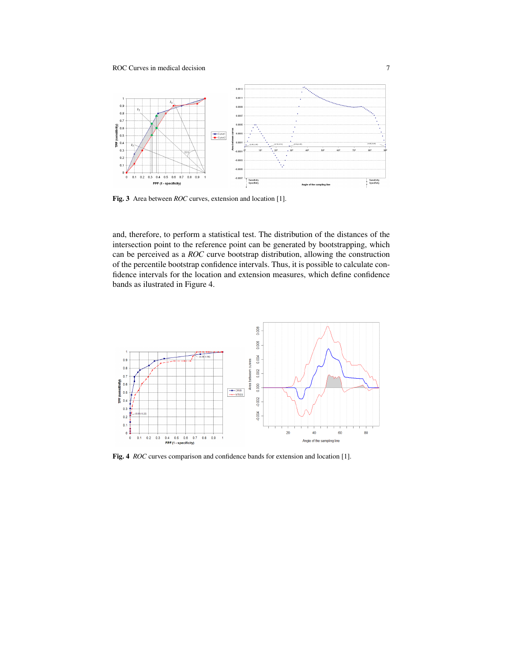

Fig. 3 Area between *ROC* curves, extension and location [1].

and, therefore, to perform a statistical test. The distribution of the distances of the intersection point to the reference point can be generated by bootstrapping, which can be perceived as a *ROC* curve bootstrap distribution, allowing the construction of the percentile bootstrap confidence intervals. Thus, it is possible to calculate confidence intervals for the location and extension measures, which define confidence bands as ilustrated in Figure 4.



Fig. 4 *ROC* curves comparison and confidence bands for extension and location [1].